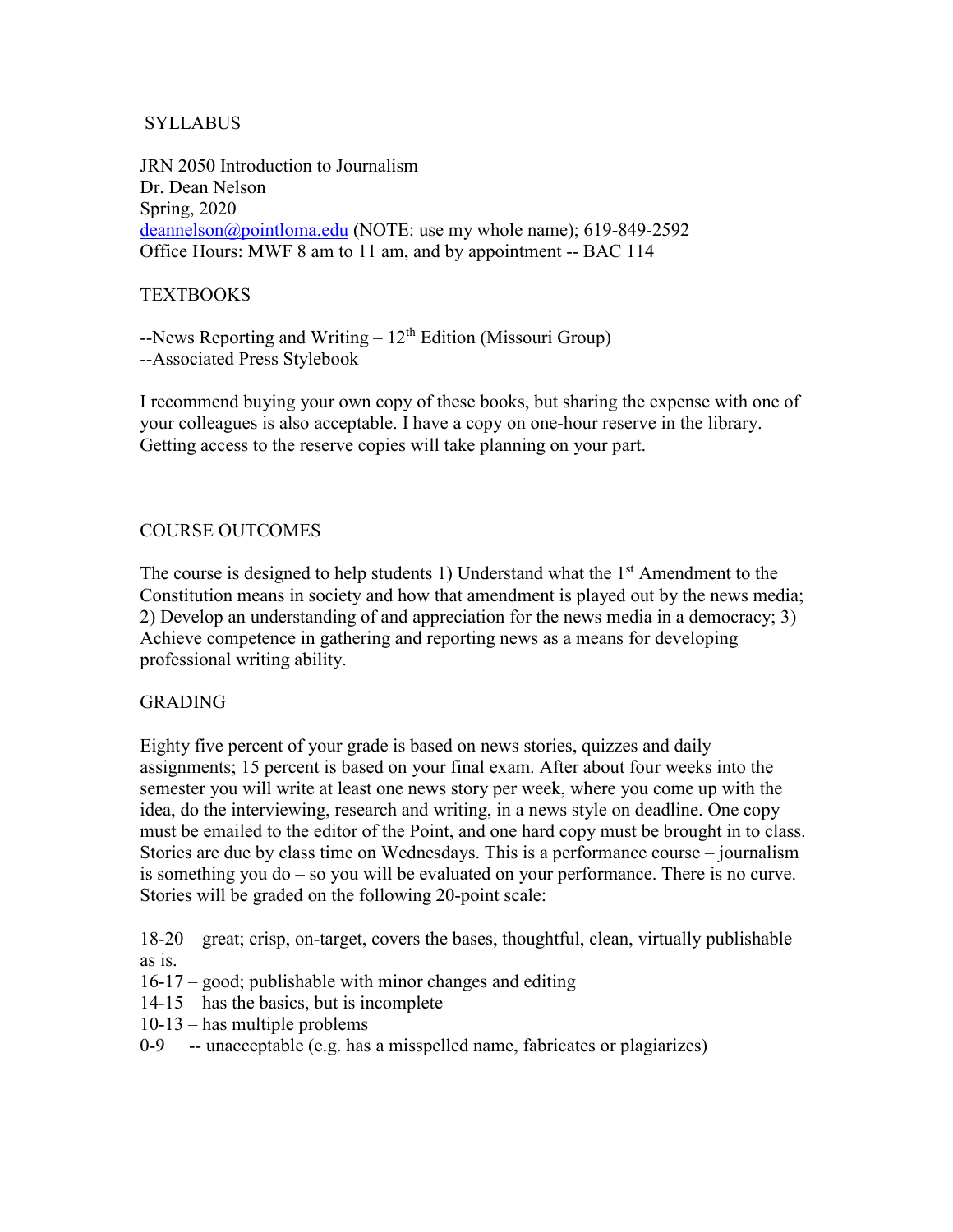## SYLLABUS

JRN 2050 Introduction to Journalism Dr. Dean Nelson Spring, 2020 [deannelson@pointloma.edu](mailto:deannelson@pointloma.edu) (NOTE: use my whole name); 619-849-2592 Office Hours: MWF 8 am to 11 am, and by appointment -- BAC 114

## **TEXTBOOKS**

 $-$ News Reporting and Writing –  $12<sup>th</sup>$  Edition (Missouri Group) --Associated Press Stylebook

I recommend buying your own copy of these books, but sharing the expense with one of your colleagues is also acceptable. I have a copy on one-hour reserve in the library. Getting access to the reserve copies will take planning on your part.

# COURSE OUTCOMES

The course is designed to help students 1) Understand what the  $1<sup>st</sup>$  Amendment to the Constitution means in society and how that amendment is played out by the news media; 2) Develop an understanding of and appreciation for the news media in a democracy; 3) Achieve competence in gathering and reporting news as a means for developing professional writing ability.

#### GRADING

Eighty five percent of your grade is based on news stories, quizzes and daily assignments; 15 percent is based on your final exam. After about four weeks into the semester you will write at least one news story per week, where you come up with the idea, do the interviewing, research and writing, in a news style on deadline. One copy must be emailed to the editor of the Point, and one hard copy must be brought in to class. Stories are due by class time on Wednesdays. This is a performance course – journalism is something you do – so you will be evaluated on your performance. There is no curve. Stories will be graded on the following 20-point scale:

18-20 – great; crisp, on-target, covers the bases, thoughtful, clean, virtually publishable as is.

- 16-17 good; publishable with minor changes and editing
- 14-15 has the basics, but is incomplete
- 10-13 has multiple problems
- 0-9 -- unacceptable (e.g. has a misspelled name, fabricates or plagiarizes)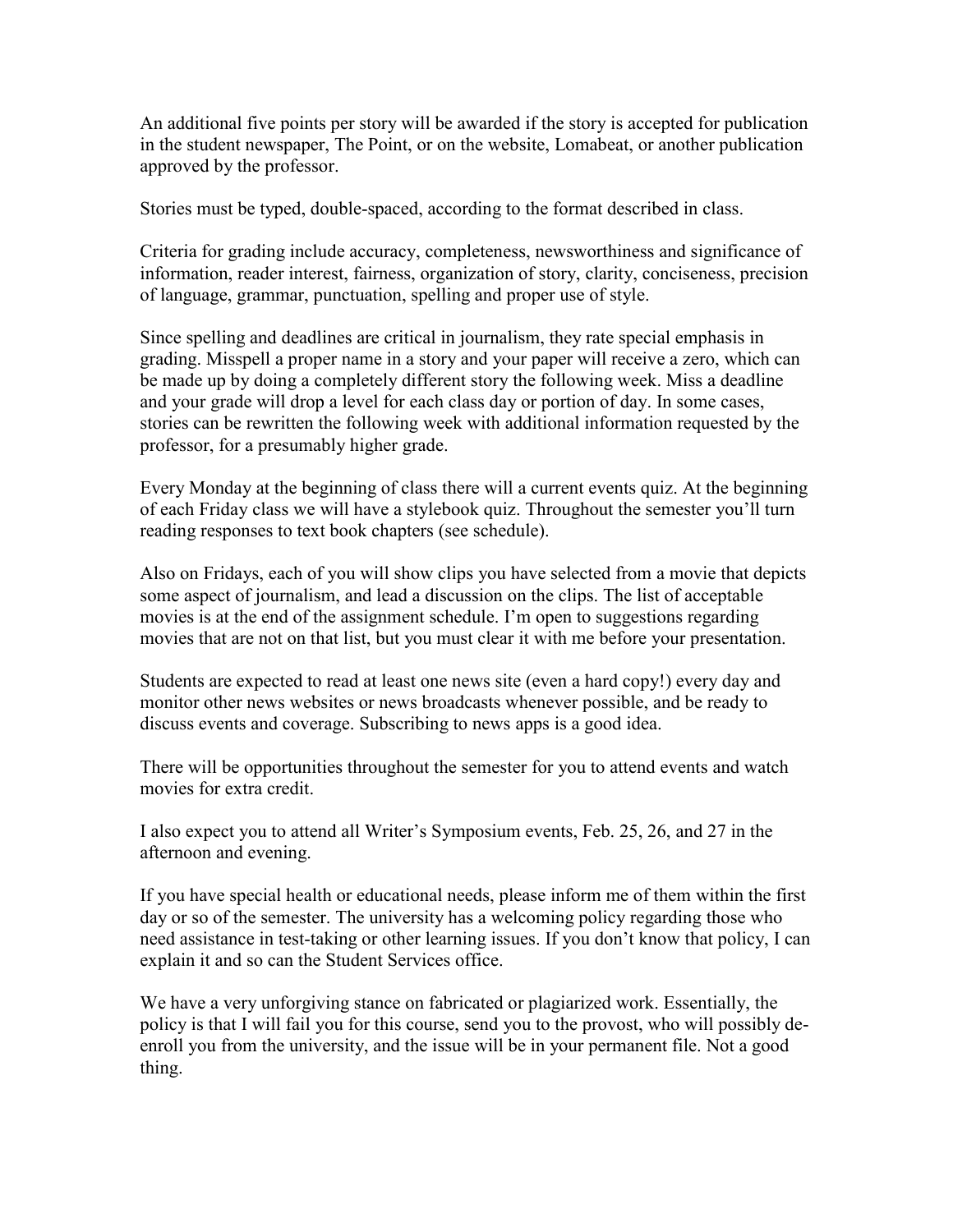An additional five points per story will be awarded if the story is accepted for publication in the student newspaper, The Point, or on the website, Lomabeat, or another publication approved by the professor.

Stories must be typed, double-spaced, according to the format described in class.

Criteria for grading include accuracy, completeness, newsworthiness and significance of information, reader interest, fairness, organization of story, clarity, conciseness, precision of language, grammar, punctuation, spelling and proper use of style.

Since spelling and deadlines are critical in journalism, they rate special emphasis in grading. Misspell a proper name in a story and your paper will receive a zero, which can be made up by doing a completely different story the following week. Miss a deadline and your grade will drop a level for each class day or portion of day. In some cases, stories can be rewritten the following week with additional information requested by the professor, for a presumably higher grade.

Every Monday at the beginning of class there will a current events quiz. At the beginning of each Friday class we will have a stylebook quiz. Throughout the semester you'll turn reading responses to text book chapters (see schedule).

Also on Fridays, each of you will show clips you have selected from a movie that depicts some aspect of journalism, and lead a discussion on the clips. The list of acceptable movies is at the end of the assignment schedule. I'm open to suggestions regarding movies that are not on that list, but you must clear it with me before your presentation.

Students are expected to read at least one news site (even a hard copy!) every day and monitor other news websites or news broadcasts whenever possible, and be ready to discuss events and coverage. Subscribing to news apps is a good idea.

There will be opportunities throughout the semester for you to attend events and watch movies for extra credit.

I also expect you to attend all Writer's Symposium events, Feb. 25, 26, and 27 in the afternoon and evening.

If you have special health or educational needs, please inform me of them within the first day or so of the semester. The university has a welcoming policy regarding those who need assistance in test-taking or other learning issues. If you don't know that policy, I can explain it and so can the Student Services office.

We have a very unforgiving stance on fabricated or plagiarized work. Essentially, the policy is that I will fail you for this course, send you to the provost, who will possibly deenroll you from the university, and the issue will be in your permanent file. Not a good thing.